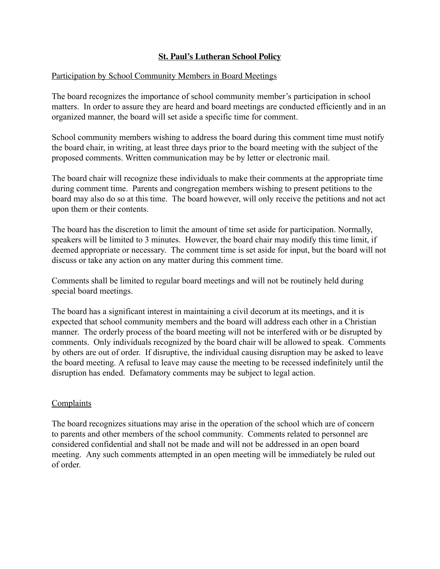## **St. Paul's Lutheran School Policy**

## Participation by School Community Members in Board Meetings

The board recognizes the importance of school community member's participation in school matters. In order to assure they are heard and board meetings are conducted efficiently and in an organized manner, the board will set aside a specific time for comment.

School community members wishing to address the board during this comment time must notify the board chair, in writing, at least three days prior to the board meeting with the subject of the proposed comments. Written communication may be by letter or electronic mail.

The board chair will recognize these individuals to make their comments at the appropriate time during comment time. Parents and congregation members wishing to present petitions to the board may also do so at this time. The board however, will only receive the petitions and not act upon them or their contents.

The board has the discretion to limit the amount of time set aside for participation. Normally, speakers will be limited to 3 minutes. However, the board chair may modify this time limit, if deemed appropriate or necessary. The comment time is set aside for input, but the board will not discuss or take any action on any matter during this comment time.

Comments shall be limited to regular board meetings and will not be routinely held during special board meetings.

The board has a significant interest in maintaining a civil decorum at its meetings, and it is expected that school community members and the board will address each other in a Christian manner. The orderly process of the board meeting will not be interfered with or be disrupted by comments. Only individuals recognized by the board chair will be allowed to speak. Comments by others are out of order. If disruptive, the individual causing disruption may be asked to leave the board meeting. A refusal to leave may cause the meeting to be recessed indefinitely until the disruption has ended. Defamatory comments may be subject to legal action.

## Complaints

The board recognizes situations may arise in the operation of the school which are of concern to parents and other members of the school community. Comments related to personnel are considered confidential and shall not be made and will not be addressed in an open board meeting. Any such comments attempted in an open meeting will be immediately be ruled out of order.